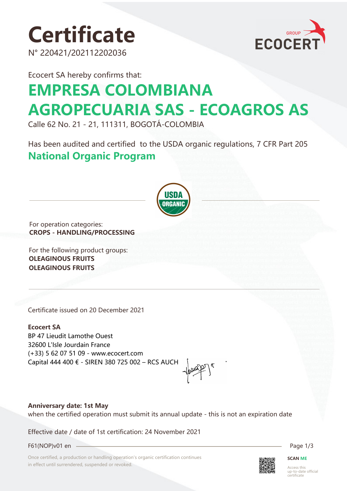# **Certificate**

N° 220421/202112202036



Ecocert SA hereby confirms that:

# **EMPRESA COLOMBIANA AGROPECUARIA SAS - ECOAGROS AS**

Calle 62 No. 21 - 21, 111311, BOGOTÁ-COLOMBIA

Has been audited and certified to the USDA organic regulations, 7 CFR Part 205 **National Organic Program** 



For operation categories: **CROPS - HANDLING/PROCESSING**

For the following product groups: **OLEAGINOUS FRUITS OLEAGINOUS FRUITS**

Certificate issued on 20 December 2021

**Ecocert SA** BP 47 Lieudit Lamothe Ouest 32600 L'Isle Jourdain France (+33) 5 62 07 51 09 - www.ecocert.com Capital 444 400 € - SIREN 380 725 002 – RCS AUCH

#### **Anniversary date: 1st May** when the certified operation must submit its annual update - this is not an expiration date

Effective date / date of 1st certification: 24 November 2021

F61(NOP)v01 en Page 1/3

Once certified, a production or handling operation's organic certification continues in effect until surrendered, suspended or revoked.



**SCAN ME**

Access this up-to-date official certificate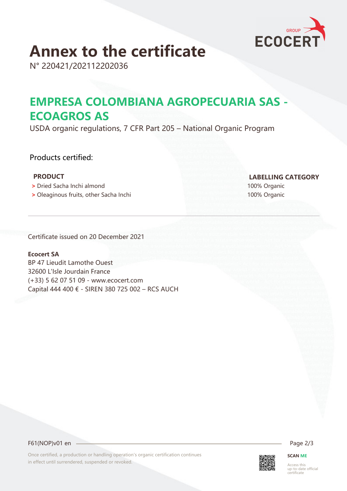

# **Annex to the certificate**

N° 220421/202112202036

### **EMPRESA COLOMBIANA AGROPECUARIA SAS - ECOAGROS AS**

USDA organic regulations, 7 CFR Part 205 – National Organic Program

### Products certified:

- **>** Dried Sacha Inchi almond 100% Organic
- **>** Oleaginous fruits, other Sacha Inchi 100% Organic

 **PRODUCT LABELLING CATEGORY**

Certificate issued on 20 December 2021

#### **Ecocert SA**

BP 47 Lieudit Lamothe Ouest 32600 L'Isle Jourdain France (+33) 5 62 07 51 09 - www.ecocert.com Capital 444 400 € - SIREN 380 725 002 – RCS AUCH

F61(NOP)v01 en 2/3

Once certified, a production or handling operation's organic certification continues in effect until surrendered, suspended or revoked.



**SCAN ME**

Access this up-to-date official certificate